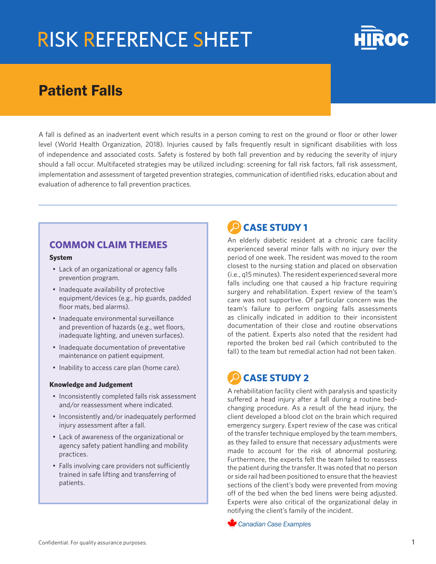

## Patient Falls

A fall is defined as an inadvertent event which results in a person coming to rest on the ground or floor or other lower level (World Health Organization, 2018). Injuries caused by falls frequently result in significant disabilities with loss of independence and associated costs. Safety is fostered by both fall prevention and by reducing the severity of injury should a fall occur. Multifaceted strategies may be utilized including: screening for fall risk factors, fall risk assessment, implementation and assessment of targeted prevention strategies, communication of identified risks, education about and evaluation of adherence to fall prevention practices.

#### **COMMON CLAIM THEMES**

#### **System**

- Lack of an organizational or agency falls prevention program.
- Inadequate availability of protective equipment/devices (e.g., hip guards, padded floor mats, bed alarms).
- Inadequate environmental surveillance and prevention of hazards (e.g., wet floors, inadequate lighting, and uneven surfaces).
- Inadequate documentation of preventative maintenance on patient equipment.
- Inability to access care plan (home care).

#### **Knowledge and Judgement**

- Inconsistently completed falls risk assessment and/or reassessment where indicated.
- Inconsistently and/or inadequately performed injury assessment after a fall.
- Lack of awareness of the organizational or agency safety patient handling and mobility practices.
- Falls involving care providers not sufficiently trained in safe lifting and transferring of patients.

### **CASE STUDY 1**

An elderly diabetic resident at a chronic care facility experienced several minor falls with no injury over the period of one week. The resident was moved to the room closest to the nursing station and placed on observation (i.e., q15 minutes). The resident experienced several more falls including one that caused a hip fracture requiring surgery and rehabilitation. Expert review of the team's care was not supportive. Of particular concern was the team's failure to perform ongoing falls assessments as clinically indicated in addition to their inconsistent documentation of their close and routine observations of the patient. Experts also noted that the resident had reported the broken bed rail (which contributed to the fall) to the team but remedial action had not been taken.

## **CASE STUDY 2**

A rehabilitation facility client with paralysis and spasticity suffered a head injury after a fall during a routine bedchanging procedure. As a result of the head injury, the client developed a blood clot on the brain which required emergency surgery. Expert review of the case was critical of the transfer technique employed by the team members, as they failed to ensure that necessary adjustments were made to account for the risk of abnormal posturing. Furthermore, the experts felt the team failed to reassess the patient during the transfer. It was noted that no person or side rail had been positioned to ensure that the heaviest sections of the client's body were prevented from moving off of the bed when the bed linens were being adjusted. Experts were also critical of the organizational delay in notifying the client's family of the incident.

*Canadian Case Examples*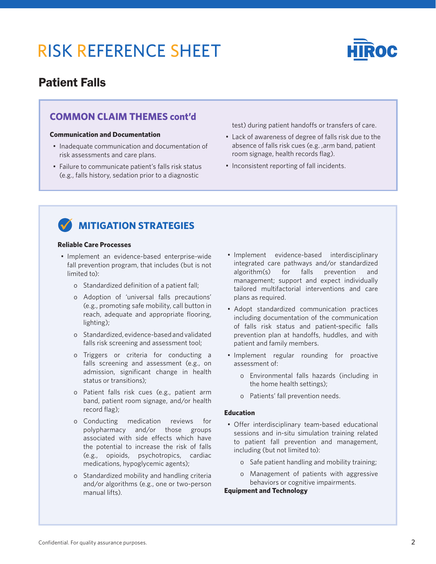

### Patient Falls

#### **COMMON CLAIM THEMES cont'd**

#### **Communication and Documentation**

- Inadequate communication and documentation of risk assessments and care plans.
- Failure to communicate patient's falls risk status (e.g., falls history, sedation prior to a diagnostic

test) during patient handoffs or transfers of care.

- Lack of awareness of degree of falls risk due to the absence of falls risk cues (e.g. ,arm band, patient room signage, health records flag).
- Inconsistent reporting of fall incidents.



### **MITIGATION STRATEGIES**

#### **Reliable Care Processes**

- Implement an evidence-based enterprise-wide fall prevention program, that includes (but is not limited to):
	- o Standardized definition of a patient fall;
	- o Adoption of 'universal falls precautions' (e.g., promoting safe mobility, call button in reach, adequate and appropriate flooring, lighting);
	- o Standardized, evidence-based and validated falls risk screening and assessment tool;
	- o Triggers or criteria for conducting a falls screening and assessment (e.g., on admission, significant change in health status or transitions);
	- o Patient falls risk cues (e.g., patient arm band, patient room signage, and/or health record flag);
	- o Conducting medication reviews for polypharmacy and/or those groups associated with side effects which have the potential to increase the risk of falls (e.g., opioids, psychotropics, cardiac medications, hypoglycemic agents);
	- o Standardized mobility and handling criteria and/or algorithms (e.g., one or two-person manual lifts).
- Implement evidence-based interdisciplinary integrated care pathways and/or standardized algorithm(s) for falls prevention and management; support and expect individually tailored multifactorial interventions and care plans as required.
- Adopt standardized communication practices including documentation of the communication of falls risk status and patient-specific falls prevention plan at handoffs, huddles, and with patient and family members.
- Implement regular rounding for proactive assessment of:
	- o Environmental falls hazards (including in the home health settings);
	- o Patients' fall prevention needs.

#### **Education**

- Offer interdisciplinary team-based educational sessions and in-situ simulation training related to patient fall prevention and management, including (but not limited to):
	- o Safe patient handling and mobility training;
	- o Management of patients with aggressive behaviors or cognitive impairments.

#### **Equipment and Technology**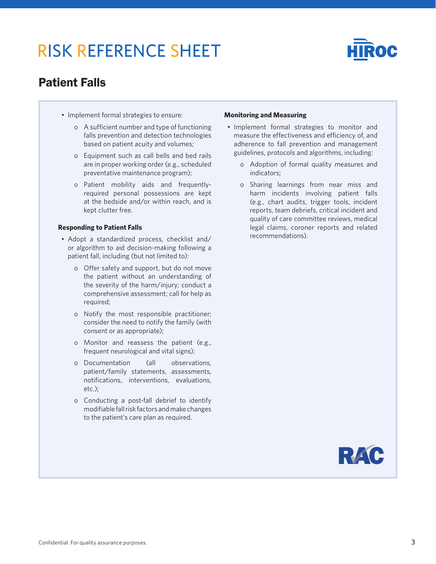

## Patient Falls

- Implement formal strategies to ensure:
	- o A sufficient number and type of functioning falls prevention and detection technologies based on patient acuity and volumes;
	- o Equipment such as call bells and bed rails are in proper working order (e.g., scheduled preventative maintenance program);
	- o Patient mobility aids and frequentlyrequired personal possessions are kept at the bedside and/or within reach, and is kept clutter free.

#### **Responding to Patient Falls**

- Adopt a standardized process, checklist and/ or algorithm to aid decision-making following a patient fall, including (but not limited to):
	- o Offer safety and support, but do not move the patient without an understanding of the severity of the harm/injury; conduct a comprehensive assessment; call for help as required;
	- o Notify the most responsible practitioner; consider the need to notify the family (with consent or as appropriate);
	- o Monitor and reassess the patient (e.g., frequent neurological and vital signs);
	- o Documentation (all observations, patient/family statements, assessments, notifications, interventions, evaluations, etc.);
	- o Conducting a post-fall debrief to identify modifiable fall risk factors and make changes to the patient's care plan as required.

#### **Monitoring and Measuring**

- Implement formal strategies to monitor and measure the effectiveness and efficiency of, and adherence to fall prevention and management guidelines, protocols and algorithms, including:
	- o Adoption of formal quality measures and indicators;
	- o Sharing learnings from near miss and harm incidents involving patient falls (e.g., chart audits, trigger tools, incident reports, team debriefs, critical incident and quality of care committee reviews, medical legal claims, coroner reports and related recommendations).